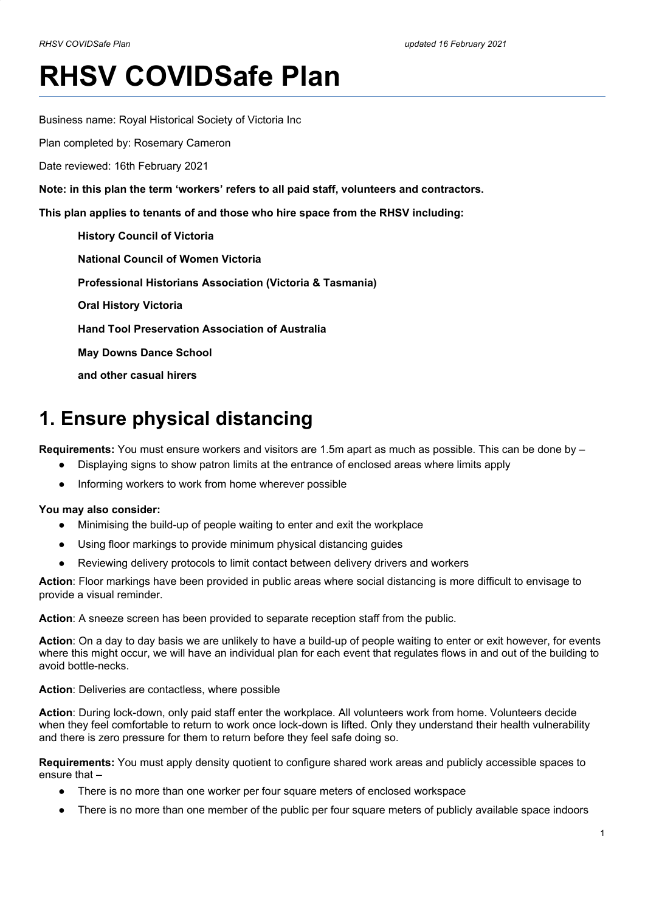# **RHSV COVIDSafe Plan**

Business name: Royal Historical Society of Victoria Inc

Plan completed by: Rosemary Cameron

Date reviewed: 16th February 2021

**Note: in this plan the term 'workers' refers to all paid staff, volunteers and contractors.**

**This plan applies to tenants of and those who hire space from the RHSV including:**

**History Council of Victoria National Council of Women Victoria Professional Historians Association (Victoria & Tasmania) Oral History Victoria Hand Tool Preservation Association of Australia May Downs Dance School and other casual hirers**

# **1. Ensure physical distancing**

**Requirements:** You must ensure workers and visitors are 1.5m apart as much as possible. This can be done by –

- Displaying signs to show patron limits at the entrance of enclosed areas where limits apply
- Informing workers to work from home wherever possible

#### **You may also consider:**

- Minimising the build-up of people waiting to enter and exit the workplace
- Using floor markings to provide minimum physical distancing guides
- Reviewing delivery protocols to limit contact between delivery drivers and workers

**Action**: Floor markings have been provided in public areas where social distancing is more difficult to envisage to provide a visual reminder.

**Action**: A sneeze screen has been provided to separate reception staff from the public.

**Action**: On a day to day basis we are unlikely to have a build-up of people waiting to enter or exit however, for events where this might occur, we will have an individual plan for each event that regulates flows in and out of the building to avoid bottle-necks.

#### **Action**: Deliveries are contactless, where possible

**Action**: During lock-down, only paid staff enter the workplace. All volunteers work from home. Volunteers decide when they feel comfortable to return to work once lock-down is lifted. Only they understand their health vulnerability and there is zero pressure for them to return before they feel safe doing so.

**Requirements:** You must apply density quotient to configure shared work areas and publicly accessible spaces to ensure that –

- There is no more than one worker per four square meters of enclosed workspace
- There is no more than one member of the public per four square meters of publicly available space indoors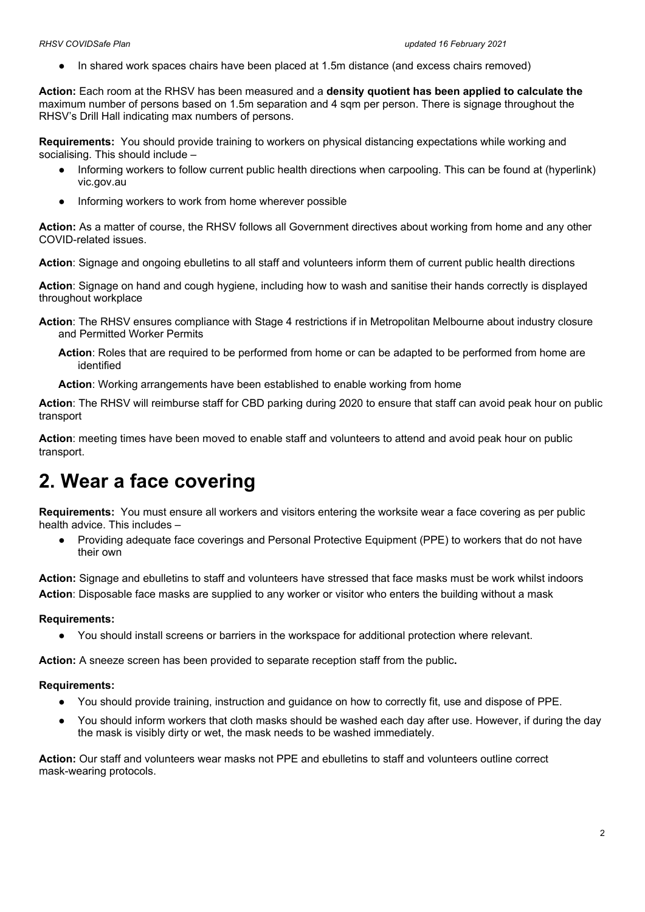In shared work spaces chairs have been placed at 1.5m distance (and excess chairs removed)

**Action:** Each room at the RHSV has been measured and a **density quotient has been applied to calculate the** maximum number of persons based on 1.5m separation and 4 sqm per person. There is signage throughout the RHSV's Drill Hall indicating max numbers of persons.

**Requirements:** You should provide training to workers on physical distancing expectations while working and socialising. This should include –

- Informing workers to follow current public health directions when carpooling. This can be found at (hyperlink) vic.gov.au
- Informing workers to work from home wherever possible

**Action:** As a matter of course, the RHSV follows all Government directives about working from home and any other COVID-related issues.

**Action**: Signage and ongoing ebulletins to all staff and volunteers inform them of current public health directions

**Action**: Signage on hand and cough hygiene, including how to wash and sanitise their hands correctly is displayed throughout workplace

**Action**: The RHSV ensures compliance with Stage 4 restrictions if in Metropolitan Melbourne about industry closure and Permitted Worker Permits

**Action**: Roles that are required to be performed from home or can be adapted to be performed from home are identified

**Action**: Working arrangements have been established to enable working from home

**Action**: The RHSV will reimburse staff for CBD parking during 2020 to ensure that staff can avoid peak hour on public transport

**Action**: meeting times have been moved to enable staff and volunteers to attend and avoid peak hour on public transport.

### **2. Wear a face covering**

**Requirements:** You must ensure all workers and visitors entering the worksite wear a face covering as per public health advice. This includes –

● Providing adequate face coverings and Personal Protective Equipment (PPE) to workers that do not have their own

**Action:** Signage and ebulletins to staff and volunteers have stressed that face masks must be work whilst indoors **Action**: Disposable face masks are supplied to any worker or visitor who enters the building without a mask

#### **Requirements:**

You should install screens or barriers in the workspace for additional protection where relevant.

**Action:** A sneeze screen has been provided to separate reception staff from the public**.**

#### **Requirements:**

- You should provide training, instruction and guidance on how to correctly fit, use and dispose of PPE.
- You should inform workers that cloth masks should be washed each day after use. However, if during the day the mask is visibly dirty or wet, the mask needs to be washed immediately.

**Action:** Our staff and volunteers wear masks not PPE and ebulletins to staff and volunteers outline correct mask-wearing protocols.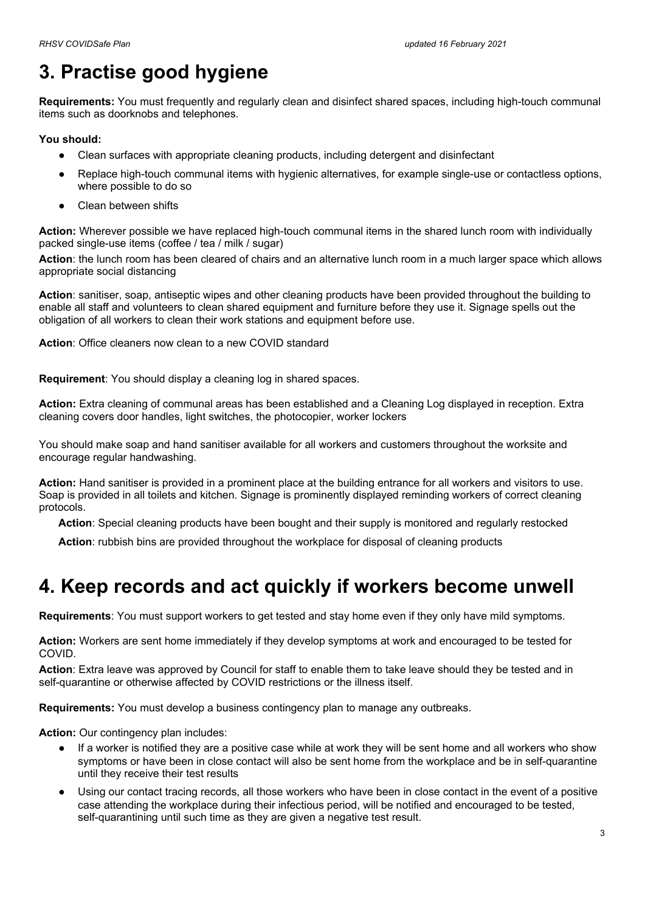# **3. Practise good hygiene**

**Requirements:** You must frequently and regularly clean and disinfect shared spaces, including high-touch communal items such as doorknobs and telephones.

**You should:**

- Clean surfaces with appropriate cleaning products, including detergent and disinfectant
- Replace high-touch communal items with hygienic alternatives, for example single-use or contactless options, where possible to do so
- Clean between shifts

**Action:** Wherever possible we have replaced high-touch communal items in the shared lunch room with individually packed single-use items (coffee / tea / milk / sugar)

**Action**: the lunch room has been cleared of chairs and an alternative lunch room in a much larger space which allows appropriate social distancing

**Action**: sanitiser, soap, antiseptic wipes and other cleaning products have been provided throughout the building to enable all staff and volunteers to clean shared equipment and furniture before they use it. Signage spells out the obligation of all workers to clean their work stations and equipment before use.

**Action**: Office cleaners now clean to a new COVID standard

**Requirement**: You should display a cleaning log in shared spaces.

**Action:** Extra cleaning of communal areas has been established and a Cleaning Log displayed in reception. Extra cleaning covers door handles, light switches, the photocopier, worker lockers

You should make soap and hand sanitiser available for all workers and customers throughout the worksite and encourage regular handwashing.

**Action:** Hand sanitiser is provided in a prominent place at the building entrance for all workers and visitors to use. Soap is provided in all toilets and kitchen. Signage is prominently displayed reminding workers of correct cleaning protocols.

**Action**: Special cleaning products have been bought and their supply is monitored and regularly restocked

**Action**: rubbish bins are provided throughout the workplace for disposal of cleaning products

# **4. Keep records and act quickly if workers become unwell**

**Requirements**: You must support workers to get tested and stay home even if they only have mild symptoms.

**Action:** Workers are sent home immediately if they develop symptoms at work and encouraged to be tested for COVID.

**Action**: Extra leave was approved by Council for staff to enable them to take leave should they be tested and in self-quarantine or otherwise affected by COVID restrictions or the illness itself.

**Requirements:** You must develop a business contingency plan to manage any outbreaks.

**Action:** Our contingency plan includes:

- If a worker is notified they are a positive case while at work they will be sent home and all workers who show symptoms or have been in close contact will also be sent home from the workplace and be in self-quarantine until they receive their test results
- Using our contact tracing records, all those workers who have been in close contact in the event of a positive case attending the workplace during their infectious period, will be notified and encouraged to be tested, self-quarantining until such time as they are given a negative test result.